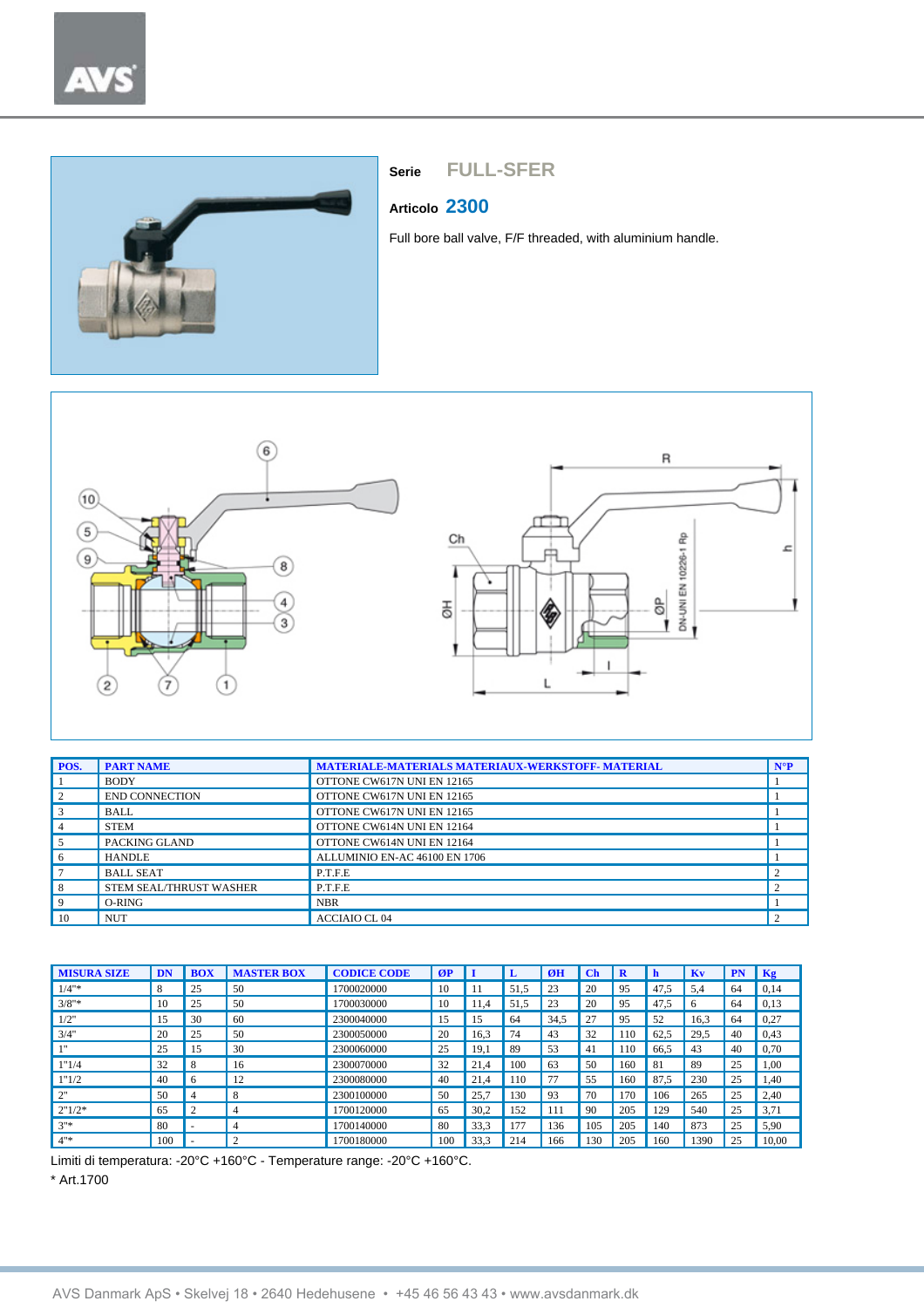

#### **Articolo 2300**

Full bore ball valve, F/F threaded, with aluminium handle.



| POS.           | <b>PART NAME</b>        | <b>MATERIALE-MATERIALS MATERIAUX-WERKSTOFF-MATERIAL</b> | $N^{\circ}P$ |
|----------------|-------------------------|---------------------------------------------------------|--------------|
|                | <b>BODY</b>             | OTTONE CW617N UNI EN 12165                              |              |
| 2              | <b>END CONNECTION</b>   | OTTONE CW617N UNI EN 12165                              |              |
| 3              | <b>BALL</b>             | OTTONE CW617N UNI EN 12165                              |              |
| $\overline{4}$ | <b>STEM</b>             | OTTONE CW614N UNI EN 12164                              |              |
| 5              | PACKING GLAND           | OTTONE CW614N UNI EN 12164                              |              |
| 6              | <b>HANDLE</b>           | ALLUMINIO EN-AC 46100 EN 1706                           |              |
|                | <b>BALL SEAT</b>        | P.T.F.E                                                 |              |
| 8              | STEM SEAL/THRUST WASHER | P.T.F.E                                                 |              |
| 9              | $O-RING$                | <b>NBR</b>                                              |              |
| 10             | <b>NUT</b>              | <b>ACCIAIO CL04</b>                                     |              |

| <b>MISURA SIZE</b> | DN  | <b>BOX</b> | <b>MASTER BOX</b> | <b>CODICE CODE</b> | ØP  |      |      | ØH   | Ch  | R               | h    | Kv   | PN | Kg    |
|--------------------|-----|------------|-------------------|--------------------|-----|------|------|------|-----|-----------------|------|------|----|-------|
| $1/4"$ *           | 8   | 25         | 50                | 1700020000         | 10  |      | 51.5 | 23   | 20  | 95              | 47.5 | 5.4  | 64 | 0,14  |
| $3/8"$ *           | 10  | 25         | 50                | 1700030000         | 10  | 1.4  | 51.5 | 23   | 20  | 95              | 47.5 | 6    | 64 | 0,13  |
| 1/2"               | 15  | 30         | 60                | 2300040000         | 15  | 15   | 64   | 34,5 | 27  | 95              | 52   | 16,3 | 64 | 0,27  |
| 3/4"               | 20  | 25         | 50                | 2300050000         | 20  | 16.3 | 74   | 43   | 32  | $\overline{10}$ | 62,5 | 29,5 | 40 | 0,43  |
| 111                | 25  | 15         | 30                | 2300060000         | 25  | 19.  | 89   | 53   | 41  | 10              | 66.5 | 43   | 40 | 0,70  |
| 1"1/4              | 32  | 8          | 16                | 2300070000         | 32  | 21,4 | 100  | 63   | 50  | 160             | 81   | 89   | 25 | 1,00  |
| 1"1/2              | 40  | 6          | 12                | 2300080000         | 40  | 21.4 | 110  | 77   | 55  | 160             | 87.5 | 230  | 25 | .40   |
| 2"                 | 50  | 4          | 8                 | 2300100000         | 50  | 25,7 | 130  | 93   | 70  | 170             | 106  | 265  | 25 | 2,40  |
| 2"1/2"             | 65  | ◠          | $\overline{4}$    | 1700120000         | 65  | 30.2 | 152  |      | 90  | 205             | 129  | 540  | 25 | 3,71  |
| $2"$ *             | 80  | ۰          | $\overline{4}$    | 1700140000         | 80  | 33,3 | 177  | 136  | 105 | 205             | 140  | 873  | 25 | 5,90  |
| $4"$ *             | 100 | ۰          | $\overline{2}$    | 1700180000         | 100 | 33,3 | 214  | 166  | 130 | 205             | 160  | 1390 | 25 | 10,00 |

Limiti di temperatura: -20°C +160°C - Temperature range: -20°C +160°C.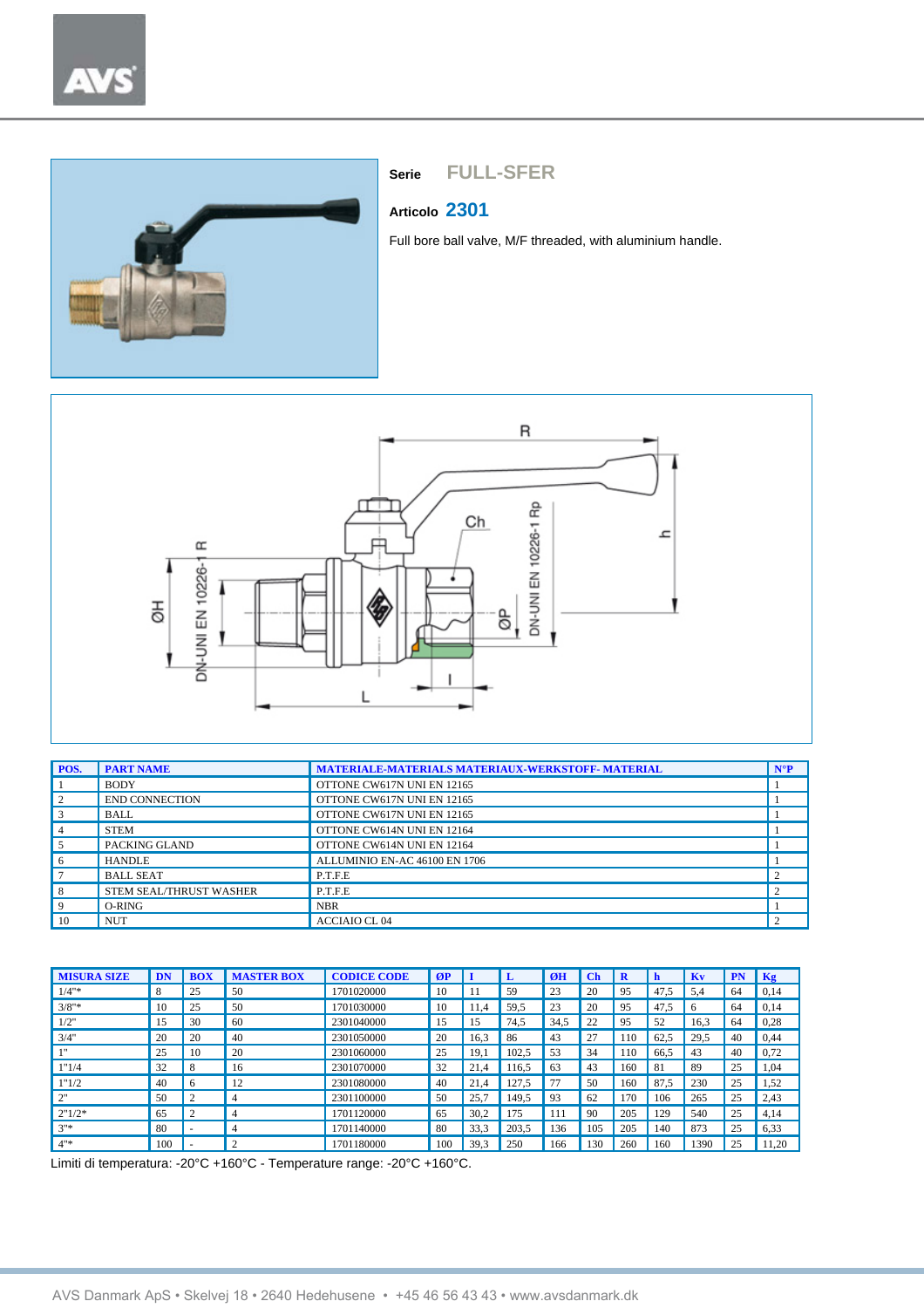

#### **Articolo 2301**

Full bore ball valve, M/F threaded, with aluminium handle.



| POS.           | <b>PART NAME</b>        | <b>MATERIALE-MATERIALS MATERIAUX-WERKSTOFF-MATERIAL</b> | $N^{\circ}P$ |
|----------------|-------------------------|---------------------------------------------------------|--------------|
|                | <b>BODY</b>             | OTTONE CW617N UNI EN 12165                              |              |
| 2              | <b>END CONNECTION</b>   | OTTONE CW617N UNI EN 12165                              |              |
| 3              | <b>BALL</b>             | OTTONE CW617N UNI EN 12165                              |              |
| $\overline{4}$ | <b>STEM</b>             | OTTONE CW614N UNI EN 12164                              |              |
| 5              | PACKING GLAND           | OTTONE CW614N UNI EN 12164                              |              |
| 6              | <b>HANDLE</b>           | ALLUMINIO EN-AC 46100 EN 1706                           |              |
|                | <b>BALL SEAT</b>        | P.T.F.E                                                 |              |
| 8              | STEM SEAL/THRUST WASHER | P.T.F.E                                                 |              |
| 9              | $O-RING$                | <b>NBR</b>                                              |              |
| 10             | <b>NUT</b>              | <b>ACCIAIO CL04</b>                                     |              |

| <b>MISURA SIZE</b> | DN  | <b>BOX</b>         | <b>MASTER BOX</b> | <b>CODICE CODE</b> | ØP  |      |       | ØH   | $\mathbf C$ | R   | h    | Kv   | <b>PN</b> | Kg    |
|--------------------|-----|--------------------|-------------------|--------------------|-----|------|-------|------|-------------|-----|------|------|-----------|-------|
| $1/4"$ *           | 8   | 25                 | 50                | 1701020000         | 10  |      | 59    | 23   | 20          | 95  | 47.5 | 5.4  | 64        | 0,14  |
| $3/8"$ *           | 10  | 25                 | 50                | 1701030000         | 10  | 11.4 | 59,5  | 23   | 20          | 95  | 47.5 | 6    | 64        | 0,14  |
| 1/2"               | 15  | 30                 | 60                | 2301040000         | 15  | 15   | 74.5  | 34,5 | 22          | 95  | 52   | 16.3 | 64        | 0,28  |
| 3/4"               | 20  | 20                 | 40                | 2301050000         | 20  | 16,3 | 86    | 43   | 27          | 110 | 62,5 | 29,5 | 40        | 0,44  |
| 111                | 25  | 10                 | 20                | 2301060000         | 25  | 19.1 | 102.5 | 53   | 34          | 110 | 66.5 | 43   | 40        | 0,72  |
| 1"1/4              | 32  | 8                  | 16                | 2301070000         | 32  | 21.4 | 16.5  | 63   | 43          | 160 | 81   | 89   | 25        | 1,04  |
| 1"1/2              | 40  | 6                  | 12                | 2301080000         | 40  | 21.4 | 27.5  | 77   | 50          | 160 | 87   | 230  | 25        | 1,52  |
| 2"                 | 50  | $\mathcal{L}$<br>∠ | 4                 | 2301100000         | 50  | 25.7 | 149.5 | 93   | 62          | 170 | 106  | 265  | 25        | 2,43  |
| 2"1/2"             | 65  | $\Omega$<br>∠      |                   | 1701120000         | 65  | 30,2 | l 75  | 111  | 90          | 205 | 129  | 540  | 25        | 4,14  |
| $3"$ *             | 80  |                    | 4                 | 1701140000         | 80  | 33.3 | 203.5 | 136  | 105         | 205 | 140  | 873  | 25        | 6,33  |
| $4"$ *             | 100 |                    | ◠                 | 1701180000         | 100 | 39.3 | 250   | 166  | 130         | 260 | 160  | 1390 | 25        | 11.20 |

Limiti di temperatura: -20°C +160°C - Temperature range: -20°C +160°C.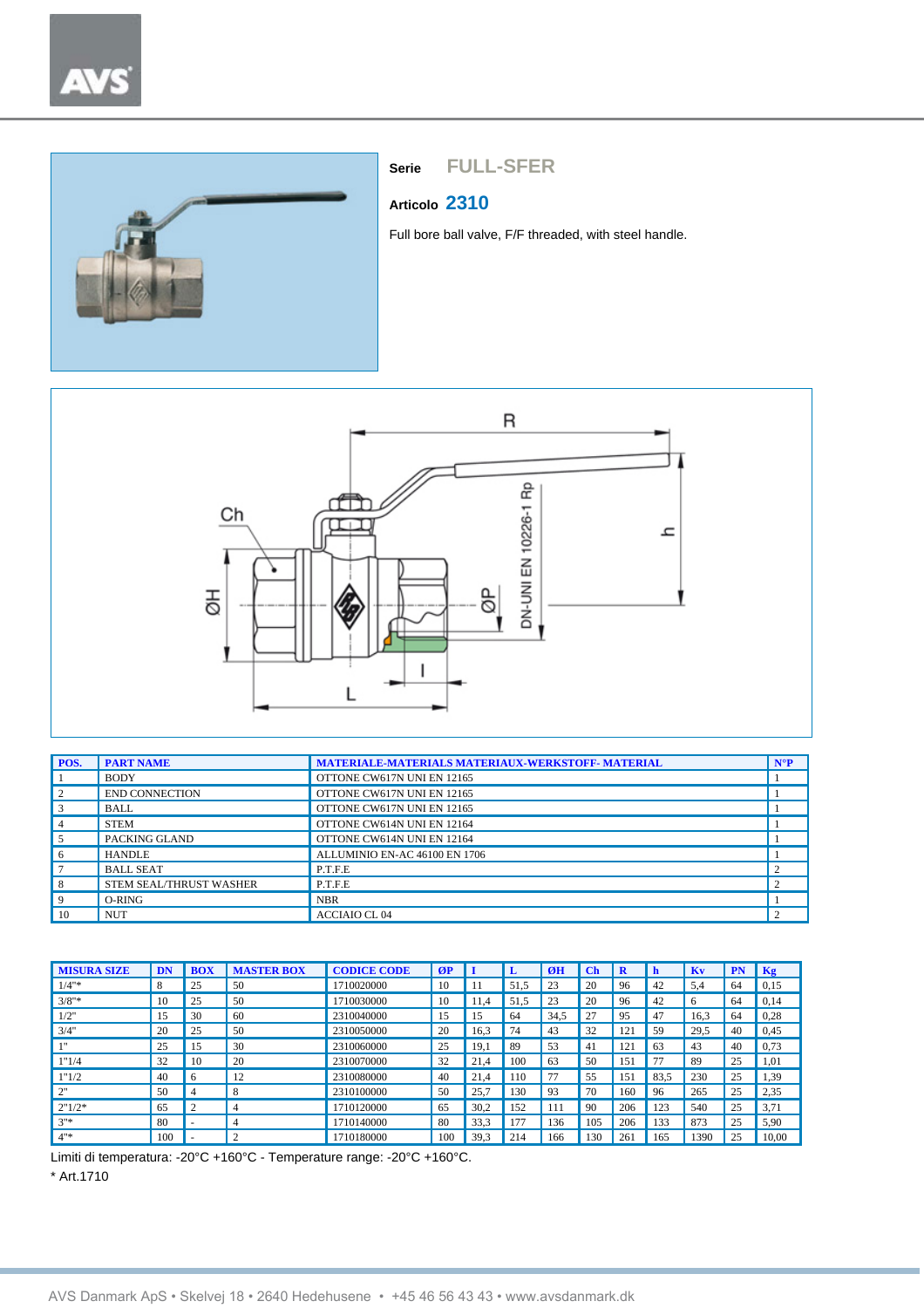



## **Articolo 2310**

Full bore ball valve, F/F threaded, with steel handle.



| POS.        | <b>PART NAME</b>        | <b>MATERIALE-MATERIALS MATERIAUX-WERKSTOFF- MATERIAL</b> | $N^{\circ}P$ |
|-------------|-------------------------|----------------------------------------------------------|--------------|
|             | <b>BODY</b>             | OTTONE CW617N UNI EN 12165                               |              |
| 2           | <b>END CONNECTION</b>   | OTTONE CW617N UNI EN 12165                               |              |
| $\vert$ 3   | <b>BALL</b>             | OTTONE CW617N UNI EN 12165                               |              |
| $4^{\circ}$ | <b>STEM</b>             | OTTONE CW614N UNI EN 12164                               |              |
| .5          | PACKING GLAND           | OTTONE CW614N UNI EN 12164                               |              |
| 6           | <b>HANDLE</b>           | ALLUMINIO EN-AC 46100 EN 1706                            |              |
|             | <b>BALL SEAT</b>        | P.T.F.E                                                  |              |
| 8           | STEM SEAL/THRUST WASHER | P.T.F.E                                                  |              |
| 9           | O-RING                  | <b>NBR</b>                                               |              |
| 10          | <b>NUT</b>              | <b>ACCIAIO CL04</b>                                      |              |

| <b>MISURA SIZE</b> | DN  | <b>BOX</b> | <b>MASTER BOX</b> | <b>CODICE CODE</b> | ØP  |      | ъ    | ØH   | Ch  | R   | h    | Kv   | PN | Kg    |
|--------------------|-----|------------|-------------------|--------------------|-----|------|------|------|-----|-----|------|------|----|-------|
| $1/4"$ *           | 8   | 25         | 50                | 1710020000         | 10  |      | 51.5 | 23   | 20  | 96  | 42   | 5.4  | 64 | 0,15  |
| $3/8"$ *           | 10  | 25         | 50                | 1710030000         | 10  | 11.4 | 51,5 | 23   | 20  | 96  | 42   | 6    | 64 | 0,14  |
| 1/2"               | 15  | 30         | 60                | 2310040000         | 15  | 15   | 64   | 34.5 | 27  | 95  | 47   | 16,3 | 64 | 0,28  |
| 3/4"               | 20  | 25         | 50                | 2310050000         | 20  | 16,3 | 74   | 43   | 32  | 121 | 59   | 29,5 | 40 | 0,45  |
| 111                | 25  | 15         | 30                | 2310060000         | 25  | 19.1 | 89   | 53   | 41  | 121 | 63   | 43   | 40 | 0,73  |
| 1"1/4              | 32  | 10         | 20                | 2310070000         | 32  | 21.4 | 100  | 63   | 50  | 151 | 77   | 89   | 25 | 1,01  |
| 1"1/2              | 40  | 6          | 12                | 2310080000         | 40  | 21.4 | 110  | 77   | 55  | 151 | 83.5 | 230  | 25 | 1,39  |
| 2"                 | 50  | 4          | 8                 | 2310100000         | 50  | 25.7 | 130  | 93   | 70  | 160 | 96   | 265  | 25 | 2,35  |
| 2"1/2"             | 65  | C          | $\overline{4}$    | 1710120000         | 65  | 30.2 | 152  | 111  | 90  | 206 | 123  | 540  | 25 | 3,71  |
| $3''*$             | 80  | ۰          | $\overline{4}$    | 1710140000         | 80  | 33,3 | 177  | 136  | 105 | 206 | 133  | 873  | 25 | 5,90  |
| $4"$ *             | 100 | ۰          | $\overline{2}$    | 1710180000         | 100 | 39,3 | 214  | 166  | 30  | 261 | 165  | 1390 | 25 | 10,00 |

Limiti di temperatura: -20°C +160°C - Temperature range: -20°C +160°C. \* Art.1710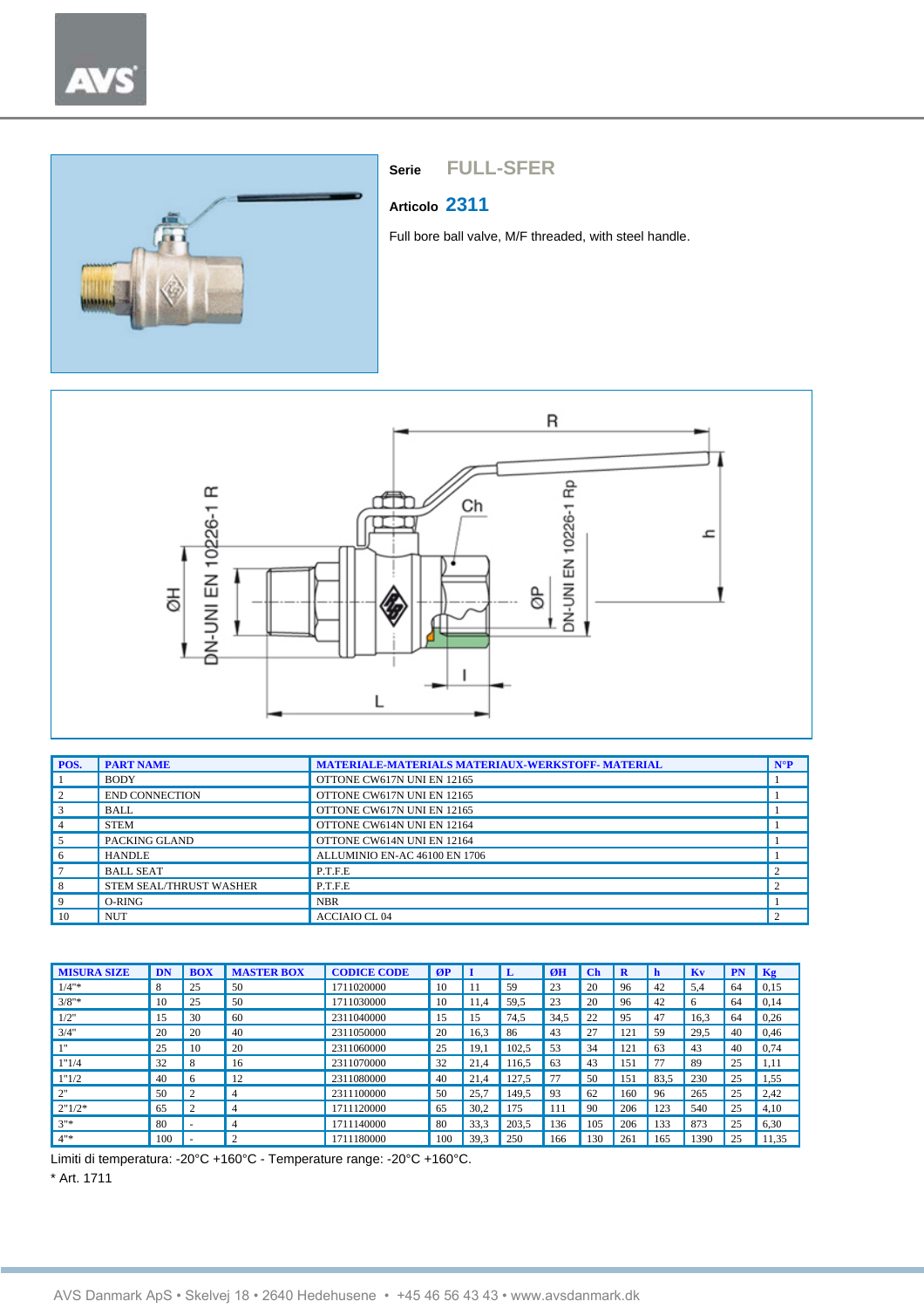

## **Articolo 2311**

Full bore ball valve, M/F threaded, with steel handle.



| POS.           | <b>PART NAME</b>        | <b>MATERIALE-MATERIALS MATERIAUX-WERKSTOFF- MATERIAL</b> | $N^{\circ}P$ |
|----------------|-------------------------|----------------------------------------------------------|--------------|
|                | <b>BODY</b>             | OTTONE CW617N UNI EN 12165                               |              |
| 2              | <b>END CONNECTION</b>   | OTTONE CW617N UNI EN 12165                               |              |
| $\overline{3}$ | <b>BALL</b>             | OTTONE CW617N UNI EN 12165                               |              |
| $\overline{4}$ | <b>STEM</b>             | OTTONE CW614N UNI EN 12164                               |              |
| 5              | PACKING GLAND           | OTTONE CW614N UNI EN 12164                               |              |
| 6              | <b>HANDLE</b>           | ALLUMINIO EN-AC 46100 EN 1706                            |              |
|                | <b>BALL SEAT</b>        | P.T.F.E                                                  |              |
| 8              | STEM SEAL/THRUST WASHER | P.T.F.E                                                  |              |
| 9              | $O-RING$                | <b>NBR</b>                                               |              |
| 10             | <b>NUT</b>              | <b>ACCIAIO CL 04</b>                                     |              |

| <b>MISURA SIZE</b> | DN  | <b>BOX</b>     | <b>MASTER BOX</b> | <b>CODICE CODE</b> | ØP  | п    | L     | ØH   | $\mathbf C$ h | R   | h    | Kv   | <b>PN</b> | Kg    |
|--------------------|-----|----------------|-------------------|--------------------|-----|------|-------|------|---------------|-----|------|------|-----------|-------|
| $1/4"$ *           | 8   | 25             | 50                | 1711020000         | 10  |      | 59    | 23   | 20            | 96  | 42   | 5,4  | 64        | 0,15  |
| $3/8"$ *           | 10  | 25             | 50                | 1711030000         | 10  | 11.4 | 59,5  | 23   | 20            | 96  | 42   | 6    | 64        | 0,14  |
| 1/2"               | 15  | 30             | 60                | 2311040000         | 15  | 15   | 74.5  | 34,5 | 22            | 95  | 47   | 16,3 | 64        | 0,26  |
| 3/4"               | 20  | 20             | 40                | 2311050000         | 20  | 16,3 | 86    | 43   | 27            | 121 | 59   | 29,5 | 40        | 0,46  |
| 111                | 25  | 10             | 20                | 2311060000         | 25  | 19,1 | 102,5 | 53   | 34            | 121 | 63   | 43   | 40        | 0,74  |
| 1"1/4              | 32  | 8              | 16                | 2311070000         | 32  | 21.4 | 16.5  | 63   | 43            | 151 | 77   | 89   | 25        | 1,11  |
| 1"1/2              | 40  | 6              | 12                | 2311080000         | 40  | 21.4 | 127,5 | 77   | 50            | 151 | 83,5 | 230  | 25        | 1,55  |
| 2"                 | 50  | 2              | 4                 | 2311100000         | 50  | 25,7 | 149.5 | 93   | 62            | 160 | 96   | 265  | 25        | 2,42  |
| 2"1/2"             | 65  | $\overline{c}$ | $\overline{4}$    | 1711120000         | 65  | 30,2 | 175   | 111  | 90            | 206 | 123  | 540  | 25        | 4,10  |
| $3"$ *             | 80  | ۰              | $\overline{4}$    | 1711140000         | 80  | 33,3 | 203,5 | 136  | 105           | 206 | 133  | 873  | 25        | 6,30  |
| $4"$ *             | 100 |                | $\overline{2}$    | 1711180000         | 100 | 39,3 | 250   | 166  | 130           | 26  | 165  | 1390 | 25        | 11,35 |

Limiti di temperatura: -20°C +160°C - Temperature range: -20°C +160°C.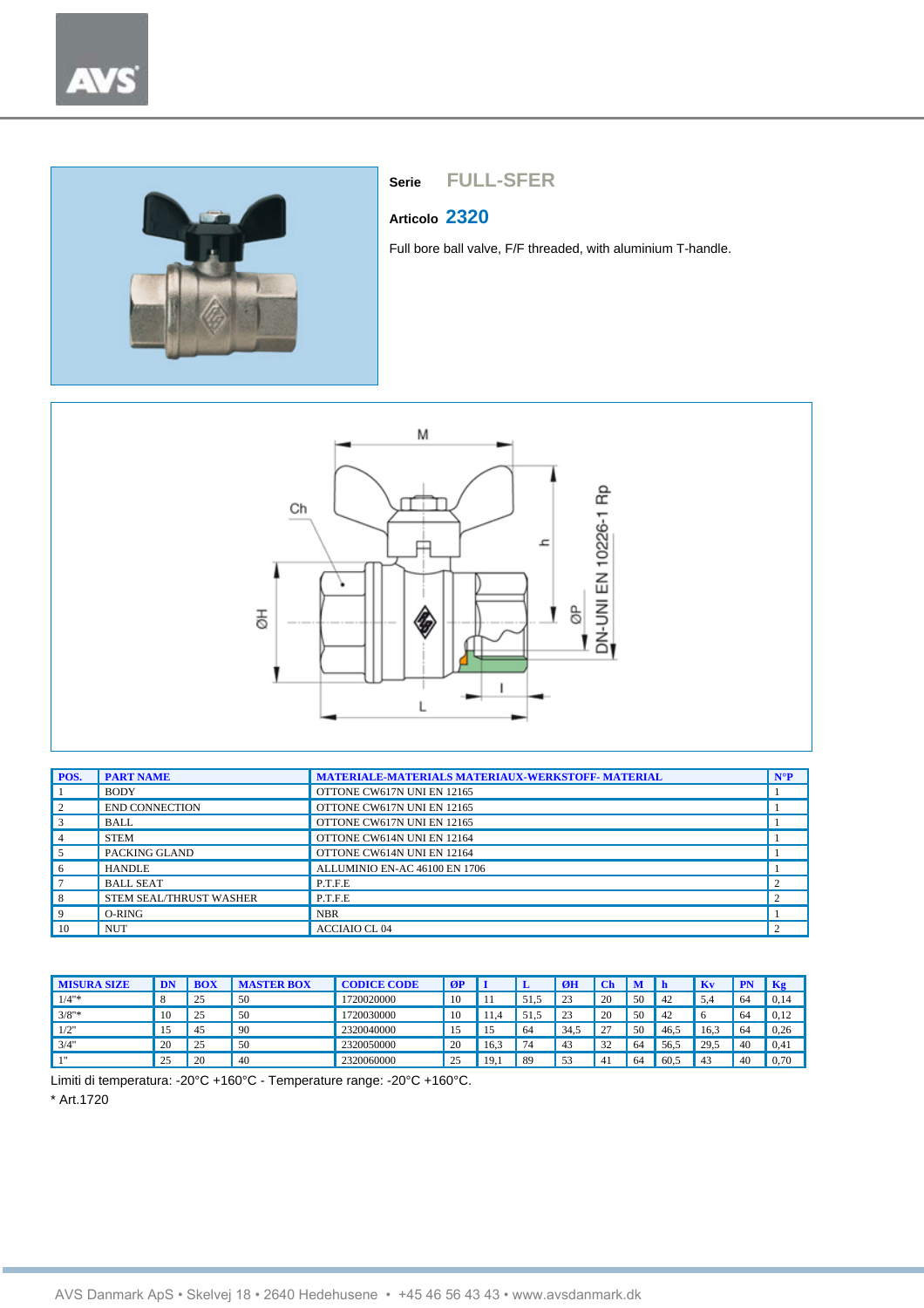



#### **Articolo 2320**

Full bore ball valve, F/F threaded, with aluminium T-handle.



| POS.           | <b>PART NAME</b>        | <b>MATERIALE-MATERIALS MATERIAUX-WERKSTOFF- MATERIAL</b> | $N^{\circ}P$ |
|----------------|-------------------------|----------------------------------------------------------|--------------|
|                | <b>BODY</b>             | OTTONE CW617N UNI EN 12165                               |              |
| 2              | <b>END CONNECTION</b>   | OTTONE CW617N UNI EN 12165                               |              |
| $\overline{3}$ | <b>BALL</b>             | OTTONE CW617N UNI EN 12165                               |              |
| $\overline{4}$ | <b>STEM</b>             | OTTONE CW614N UNI EN 12164                               |              |
| 5              | PACKING GLAND           | OTTONE CW614N UNI EN 12164                               |              |
| 6              | <b>HANDLE</b>           | ALLUMINIO EN-AC 46100 EN 1706                            |              |
|                | <b>BALL SEAT</b>        | P.T.F.E                                                  |              |
| 8              | STEM SEAL/THRUST WASHER | P.T.F.E                                                  |              |
| 9              | $O-RING$                | <b>NBR</b>                                               |              |
| 10             | <b>NUT</b>              | <b>ACCIAIO CL 04</b>                                     |              |

| <b>MISURA SIZE</b> |          |    | <b>MASTER BOX</b> | <b>CODICE CODE</b> | ØP  |      |         | ØH   |                       |    |      | Kv               |     | Kg   |
|--------------------|----------|----|-------------------|--------------------|-----|------|---------|------|-----------------------|----|------|------------------|-----|------|
| $1/4"$ *           |          | 25 | 50                | 1720020000         | 10  |      | 51<br>≛ | 23   | 20                    | 50 | 42   | - د ب            | 64  | 0,14 |
| $3/8"$ *           | 10       | 25 | 50                | 1720030000         | 10  |      | 51      | 23   | 20                    | 50 | 42   |                  | 64  | 0,12 |
| 1/2"               |          | 45 | 90                | 2320040000         | 15  |      | 64      | 34.5 | רר<br><b>_</b>        | 50 | 46.5 | 16.3             | -64 | 0,26 |
| 3/4"               | 20       | 25 | 50                | 2320050000         | -20 | 16.3 | 74      | 43   | 32<br>ے ب             | 64 | 56.5 | 29.5<br><u>_</u> | 40  | 0,41 |
| 111                | 25<br>سد | 20 | 40                | 2320060000         | 25  | 19   | 89      | 53   | $\mathbf{4}^{\prime}$ | 64 | 60.5 | 4.               | 40  | 0,70 |

Limiti di temperatura: -20°C +160°C - Temperature range: -20°C +160°C.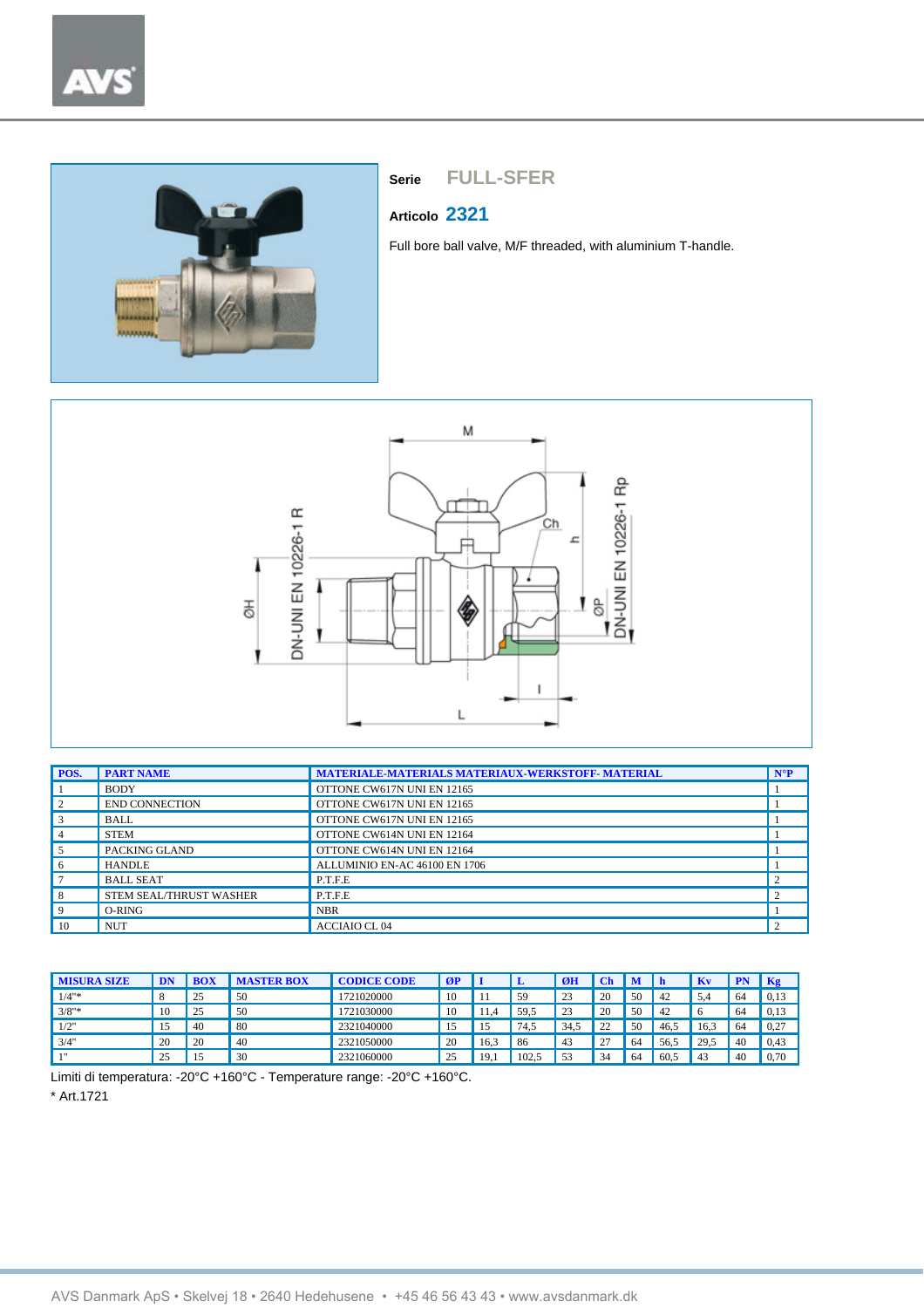

## **Articolo 2321**

Full bore ball valve, M/F threaded, with aluminium T-handle.



| POS.           | <b>PART NAME</b>        | <b>MATERIALE-MATERIALS MATERIAUX-WERKSTOFF-MATERIAL</b> | $N^{\circ}P$ |
|----------------|-------------------------|---------------------------------------------------------|--------------|
|                | <b>BODY</b>             | OTTONE CW617N UNI EN 12165                              |              |
| $\sqrt{2}$     | <b>END CONNECTION</b>   | OTTONE CW617N UNI EN 12165                              |              |
| $\overline{3}$ | <b>BALL</b>             | OTTONE CW617N UNI EN 12165                              |              |
| $\overline{4}$ | <b>STEM</b>             | OTTONE CW614N UNI EN 12164                              |              |
| 5              | PACKING GLAND           | OTTONE CW614N UNI EN 12164                              |              |
| -6             | <b>HANDLE</b>           | ALLUMINIO EN-AC 46100 EN 1706                           |              |
|                | <b>BALL SEAT</b>        | P.T.F.E                                                 |              |
| 8              | STEM SEAL/THRUST WASHER | P.T.F.E                                                 |              |
| -9             | O-RING                  | <b>NBR</b>                                              |              |
| 10             | <b>NUT</b>              | <b>ACCIAIO CL04</b>                                     |              |

| <b>MISURA SIZE</b> |    |                 | <b>STER BOX</b> | <b>CODICE CODE</b> | ØI       |      |              | ØH  |               | M  |      | Kv            |    | Kg   |
|--------------------|----|-----------------|-----------------|--------------------|----------|------|--------------|-----|---------------|----|------|---------------|----|------|
| $1/4"$ *           |    | 25<br><u>L.</u> | 50              | 1721020000         | 10       |      | 59           | 23  | 20            | 50 | 42   | 54            | 64 | 0,13 |
| $3/8"$ *           | 10 | 25<br><u>.</u>  | 50              | 1721030000         | 10       |      | 59.5         | 23  | 20            | 50 | 42   | $\sqrt{2}$    | 64 | 0,13 |
| 1/2"               | 1J | -40             | 80              | 2321040000         | י<br>. . |      | 74.5         | 34. | $\mathcal{L}$ | 50 | 46.5 | 16.3          | 64 | 0,27 |
| 3/4"               | 20 | 20              | 40              | 2321050000         | 20       | 16.3 | 86           | 43  | $\sim$<br>∼   | 64 | 56.5 | 29.5          | 40 | 0.43 |
| 111                | 25 |                 | 30              | 2321060000         | າຽ       | 19   | 102.5<br>104 | 53  | $\sim$<br>34  | 64 | 60.5 | $4^{\degree}$ | 40 | 0,70 |

Limiti di temperatura: -20°C +160°C - Temperature range: -20°C +160°C.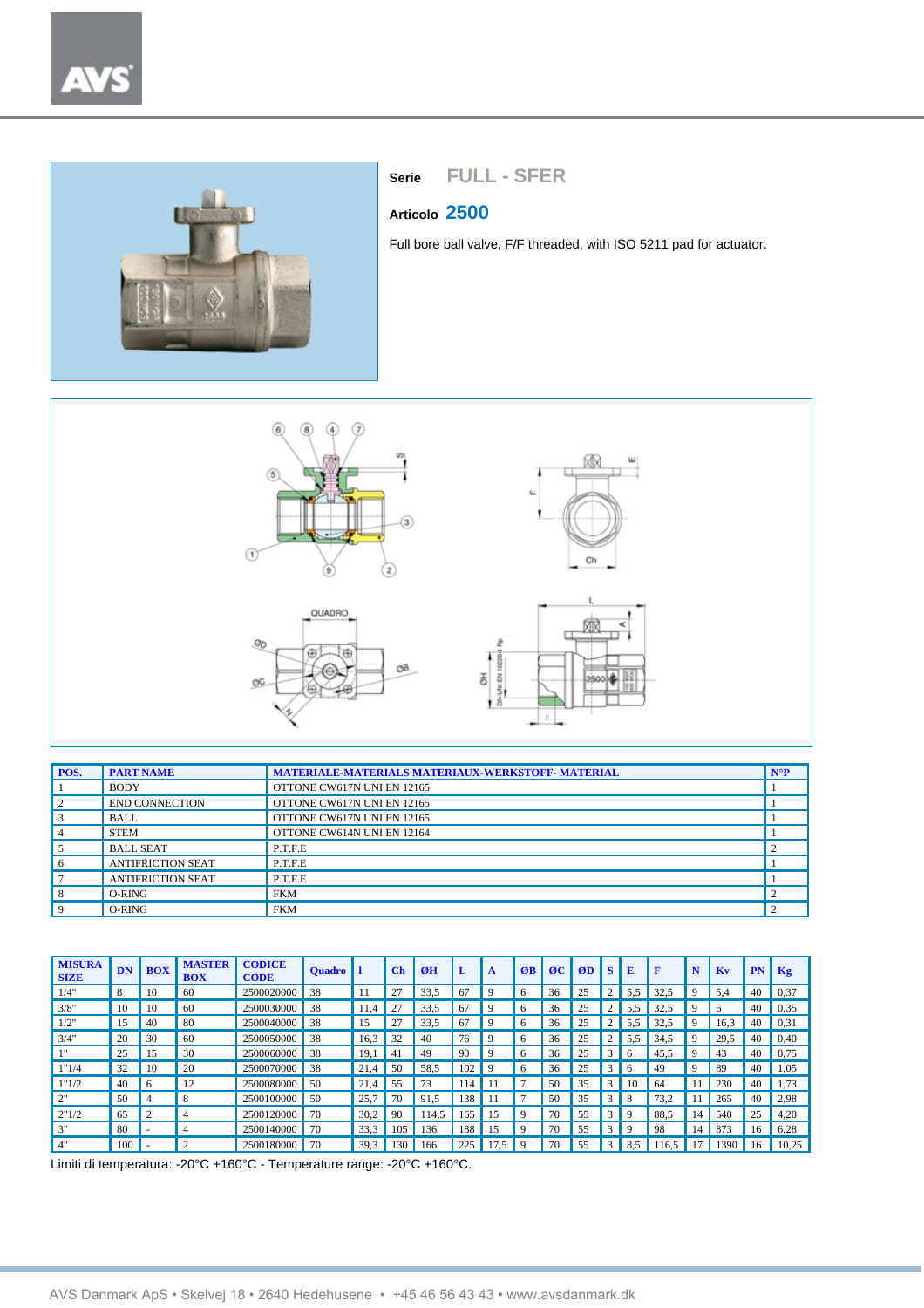

## **Articolo 2500**

Full bore ball valve, F/F threaded, with ISO 5211 pad for actuator.



| POS.           | <b>PART NAME</b>         | <b>MATERIALE-MATERIALS MATERIAUX-WERKSTOFF- MATERIAL</b> | $N^{\circ}P$ |
|----------------|--------------------------|----------------------------------------------------------|--------------|
|                | <b>BODY</b>              | OTTONE CW617N UNI EN 12165                               |              |
| $\vert$ 2      | <b>END CONNECTION</b>    | OTTONE CW617N UNI EN 12165                               |              |
| 3              | <b>BALL</b>              | OTTONE CW617N UNI EN 12165                               |              |
| $\overline{4}$ | <b>STEM</b>              | OTTONE CW614N UNI EN 12164                               |              |
| . 5            | <b>BALL SEAT</b>         | P.T.F.E                                                  |              |
| -6             | <b>ANTIFRICTION SEAT</b> | P.T.F.E.                                                 |              |
|                | <b>ANTIFRICTION SEAT</b> | P.T.F.E                                                  |              |
| -8             | O-RING                   | <b>FKM</b>                                               |              |
| 9              | O-RING                   | <b>FKM</b>                                               |              |

| <b>MISURA</b><br><b>SIZE</b> | DN  | <b>BOX</b> | <b>MASTER</b><br><b>BOX</b> | <b>CODICE</b><br><b>CODE</b> | <b>Quadro</b> |                     | $ch$ | ØH    | L   | $\mathbf{A}$ | ØB | $\alpha$ | ØD | S | E            |      | N           | Kv   | PN | Kg    |
|------------------------------|-----|------------|-----------------------------|------------------------------|---------------|---------------------|------|-------|-----|--------------|----|----------|----|---|--------------|------|-------------|------|----|-------|
| 1/4"                         | 8   | 10         | 60                          | 2500020000                   | 38            |                     | 27   | 33,5  | 67  | 9            | h  | 36       | 25 | 2 | 5,5          | 32,5 | 9           | 5.4  | 40 | 0,37  |
| 3/8"                         | 10  | 10         | 60                          | 2500030000                   | 38            | 11.4                | 27   | 33.5  | 67  | 9            | 6  | 36       | 25 | 2 | 5.5          | 32.5 | 9           | 6    | 40 | 0.35  |
| 1/2"                         | 15  | 40         | 80                          | 2500040000                   | 38            | 15                  | 27   | 33,5  | 67  | 9            | 6  | 36       | 25 | 2 | 5.5          | 32,5 | 9           | 16,3 | 40 | 0.31  |
| 3/4"                         | 20  | 30         | 60                          | 2500050000                   | 38            | 16.3                | 32   | 40    | 76  | 9            | 6  | 36       | 25 | 2 | 5.5          | 34.5 | 9           | 29.5 | 40 | 0,40  |
| 111                          | 25  | 15         | 30                          | 2500060000                   | 38            | 19.1                | 41   | 49    | 90  | 9            | 6  | 36       | 25 | 3 | <sub>0</sub> | 45,5 | 9           | 43   | 40 | 0,75  |
| 1"1/4                        | 32  | 10         | 20                          | 2500070000                   | 38            | 21<br>$\mathcal{A}$ | 50   | 58.5  | 102 | 9            | 6  | 36       | 25 | 3 | h            | 49   | $\mathbf Q$ | 89   | 40 | 1,05  |
| 1"1/2                        | 40  | $\sqrt{2}$ | 12                          | 2500080000                   | 50            | 21.4                | 55   | 73    | 114 | -11          |    | 50       | 35 | 3 | 10           | 64   |             | 230  | 40 | 1,73  |
| 2"                           | 50  | 4          | 8                           | 2500100000                   | 50            | 25.7                | 70   | 91.5  | 138 | 11           | -  | 50       | 35 | 3 | 8            | 73.2 |             | 265  | 40 | 2,98  |
| 2"1/2                        | 65  |            | 4                           | 2500120000                   | 70            | 30.2                | 90   | 114.5 | 165 | 15           | 9  | 70       | 55 | 3 | $\mathbf Q$  | 88.5 | 14          | 540  | 25 | 4,20  |
| 3"                           | 80  | ۰          | 4                           | 2500140000                   | 70            | 33.3                | 105  | 136   | 188 | 15           | 9  | 70       | 55 | 3 | 9            | 98   | 14          | 873  | 16 | 6,28  |
| 4"                           | 100 |            | $\mathcal{L}$               | 2500180000                   | 70            | 39.3                | 130  | 166   | 225 | .5           | 9  | 70       | 55 | 3 | 8.5          | 16.5 |             | 1390 | 16 | 10,25 |

Limiti di temperatura: -20°C +160°C - Temperature range: -20°C +160°C.